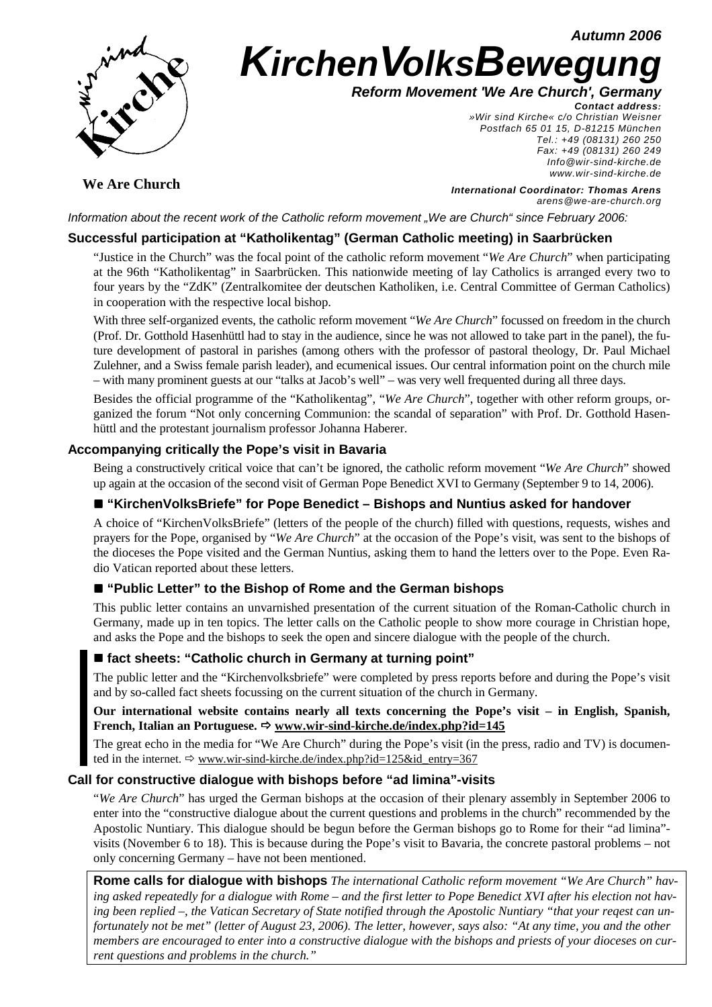**Autumn 2006**



# **KirchenVolksBewegung**

**Reform Movement 'We Are Church', Germany**

**Contact address:** 

»Wir sind Kirche« c/o Christian Weisner Postfach 65 01 15, D-81215 München Tel.: +49 (08131) 260 250 Fax: +49 (08131) 260 249 Info@wir-sind-kirche.de www.wir-sind-kirche.de

**We Are Church**

**International Coordinator: Thomas Arens** arens@we-are-church.org

Information about the recent work of the Catholic reform movement "We are Church" since February 2006:

# **Successful participation at "Katholikentag" (German Catholic meeting) in Saarbrücken**

"Justice in the Church" was the focal point of the catholic reform movement "*We Are Church*" when participating at the 96th "Katholikentag" in Saarbrücken. This nationwide meeting of lay Catholics is arranged every two to four years by the "ZdK" (Zentralkomitee der deutschen Katholiken, i.e. Central Committee of German Catholics) in cooperation with the respective local bishop.

With three self-organized events, the catholic reform movement "*We Are Church*" focussed on freedom in the church (Prof. Dr. Gotthold Hasenhüttl had to stay in the audience, since he was not allowed to take part in the panel), the future development of pastoral in parishes (among others with the professor of pastoral theology, Dr. Paul Michael Zulehner, and a Swiss female parish leader), and ecumenical issues. Our central information point on the church mile – with many prominent guests at our "talks at Jacob's well" – was very well frequented during all three days.

Besides the official programme of the "Katholikentag", "*We Are Church*", together with other reform groups, organized the forum "Not only concerning Communion: the scandal of separation" with Prof. Dr. Gotthold Hasenhüttl and the protestant journalism professor Johanna Haberer.

## **Accompanying critically the Pope's visit in Bavaria**

Being a constructively critical voice that can't be ignored, the catholic reform movement "*We Are Church*" showed up again at the occasion of the second visit of German Pope Benedict XVI to Germany (September 9 to 14, 2006).

# ■ "KirchenVolksBriefe" for Pope Benedict – Bishops and Nuntius asked for handover

A choice of "KirchenVolksBriefe" (letters of the people of the church) filled with questions, requests, wishes and prayers for the Pope, organised by "*We Are Church*" at the occasion of the Pope's visit, was sent to the bishops of the dioceses the Pope visited and the German Nuntius, asking them to hand the letters over to the Pope. Even Radio Vatican reported about these letters.

## ■ "Public Letter" to the Bishop of Rome and the German bishops

This public letter contains an unvarnished presentation of the current situation of the Roman-Catholic church in Germany, made up in ten topics. The letter calls on the Catholic people to show more courage in Christian hope, and asks the Pope and the bishops to seek the open and sincere dialogue with the people of the church.

## ■ fact sheets: "Catholic church in Germany at turning point"

The public letter and the "Kirchenvolksbriefe" were completed by press reports before and during the Pope's visit and by so-called fact sheets focussing on the current situation of the church in Germany.

## **Our international website contains nearly all texts concerning the Pope's visit – in English, Spanish,** French, Italian an Portuguese. ⇒ www.wir-sind-kirche.de/index.php?id=145

The great echo in the media for "We Are Church" during the Pope's visit (in the press, radio and TV) is documented in the internet.  $\Rightarrow$  www.wir-sind-kirche.de/index.php?id=125&id\_entry=367

## **Call for constructive dialogue with bishops before "ad limina"-visits**

"*We Are Church*" has urged the German bishops at the occasion of their plenary assembly in September 2006 to enter into the "constructive dialogue about the current questions and problems in the church" recommended by the Apostolic Nuntiary. This dialogue should be begun before the German bishops go to Rome for their "ad limina" visits (November 6 to 18). This is because during the Pope's visit to Bavaria, the concrete pastoral problems – not only concerning Germany – have not been mentioned.

**Rome calls for dialogue with bishops** *The international Catholic reform movement "We Are Church" having asked repeatedly for a dialogue with Rome – and the first letter to Pope Benedict XVI after his election not having been replied –, the Vatican Secretary of State notified through the Apostolic Nuntiary "that your reqest can unfortunately not be met" (letter of August 23, 2006). The letter, however, says also: "At any time, you and the other members are encouraged to enter into a constructive dialogue with the bishops and priests of your dioceses on current questions and problems in the church."*